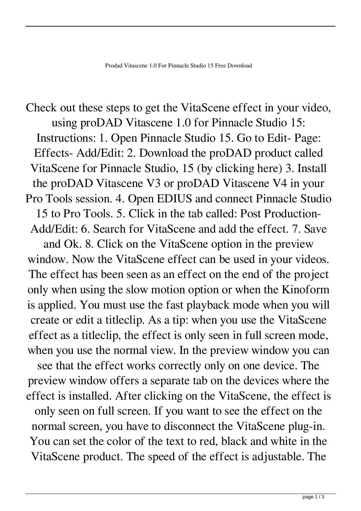Check out these steps to get the VitaScene effect in your video, using proDAD Vitascene 1.0 for Pinnacle Studio 15: Instructions: 1. Open Pinnacle Studio 15. Go to Edit- Page: Effects- Add/Edit: 2. Download the proDAD product called VitaScene for Pinnacle Studio, 15 (by clicking here) 3. Install the proDAD Vitascene V3 or proDAD Vitascene V4 in your Pro Tools session. 4. Open EDIUS and connect Pinnacle Studio 15 to Pro Tools. 5. Click in the tab called: Post Production-Add/Edit: 6. Search for VitaScene and add the effect. 7. Save and Ok. 8. Click on the VitaScene option in the preview window. Now the VitaScene effect can be used in your videos. The effect has been seen as an effect on the end of the project only when using the slow motion option or when the Kinoform is applied. You must use the fast playback mode when you will create or edit a titleclip. As a tip: when you use the VitaScene effect as a titleclip, the effect is only seen in full screen mode, when you use the normal view. In the preview window you can

see that the effect works correctly only on one device. The preview window offers a separate tab on the devices where the effect is installed. After clicking on the VitaScene, the effect is only seen on full screen. If you want to see the effect on the normal screen, you have to disconnect the VitaScene plug-in. You can set the color of the text to red, black and white in the VitaScene product. The speed of the effect is adjustable. The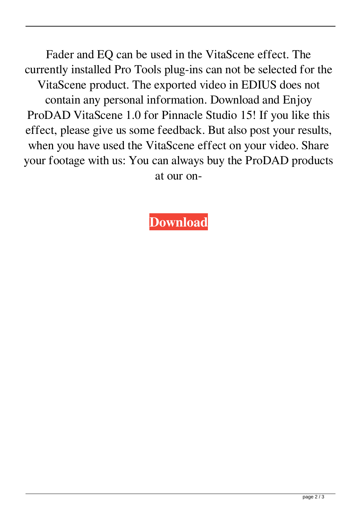Fader and EQ can be used in the VitaScene effect. The currently installed Pro Tools plug-ins can not be selected for the VitaScene product. The exported video in EDIUS does not contain any personal information. Download and Enjoy ProDAD VitaScene 1.0 for Pinnacle Studio 15! If you like this effect, please give us some feedback. But also post your results, when you have used the VitaScene effect on your video. Share your footage with us: You can always buy the ProDAD products at our on-

**[Download](http://evacdir.com/unaffiliated/cHJvZGFkIHZpdGFzY2VuZSAxLjAgZm9yIHBpbm5hY2xlIHN0dWRpbyAxNSBmcmVlIGRvd25sb2FkcHJ/aric/bakhitova/bustamante/dame.ZG93bmxvYWR8NlVJWkRKNmZId3hOalV5TnpRd09EWTJmSHd5TlRjMGZId29UU2tnY21WaFpDMWliRzluSUZ0R1lYTjBJRWRGVGww?&farewells=objectively)**